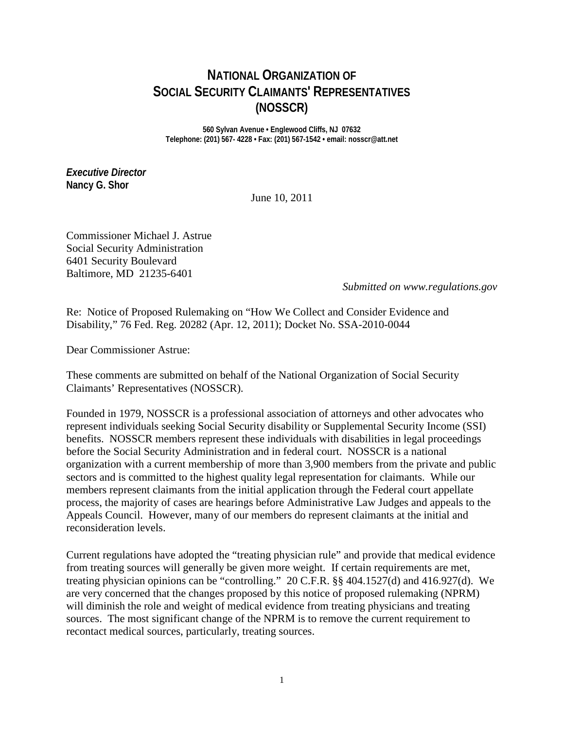# **NATIONAL ORGANIZATION OF SOCIAL SECURITY CLAIMANTS' REPRESENTATIVES (NOSSCR)**

**560 Sylvan Avenue • Englewood Cliffs, NJ 07632 Telephone: (201) 567- 4228 • Fax: (201) 567-1542 • email: nosscr@att.net**

*Executive Director* **Nancy G. Shor**

June 10, 2011

Commissioner Michael J. Astrue Social Security Administration 6401 Security Boulevard Baltimore, MD 21235-6401

*Submitted on www.regulations.gov*

Re: Notice of Proposed Rulemaking on "How We Collect and Consider Evidence and Disability," 76 Fed. Reg. 20282 (Apr. 12, 2011); Docket No. SSA-2010-0044

Dear Commissioner Astrue:

These comments are submitted on behalf of the National Organization of Social Security Claimants' Representatives (NOSSCR).

Founded in 1979, NOSSCR is a professional association of attorneys and other advocates who represent individuals seeking Social Security disability or Supplemental Security Income (SSI) benefits. NOSSCR members represent these individuals with disabilities in legal proceedings before the Social Security Administration and in federal court. NOSSCR is a national organization with a current membership of more than 3,900 members from the private and public sectors and is committed to the highest quality legal representation for claimants. While our members represent claimants from the initial application through the Federal court appellate process, the majority of cases are hearings before Administrative Law Judges and appeals to the Appeals Council. However, many of our members do represent claimants at the initial and reconsideration levels.

Current regulations have adopted the "treating physician rule" and provide that medical evidence from treating sources will generally be given more weight. If certain requirements are met, treating physician opinions can be "controlling." 20 C.F.R. §§ 404.1527(d) and 416.927(d). We are very concerned that the changes proposed by this notice of proposed rulemaking (NPRM) will diminish the role and weight of medical evidence from treating physicians and treating sources. The most significant change of the NPRM is to remove the current requirement to recontact medical sources, particularly, treating sources.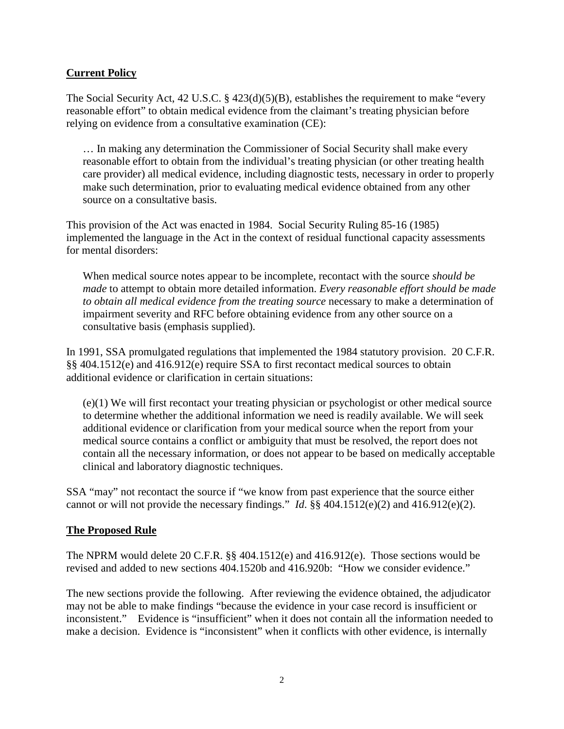#### **Current Policy**

The Social Security Act, 42 U.S.C. § 423(d)(5)(B), establishes the requirement to make "every reasonable effort" to obtain medical evidence from the claimant's treating physician before relying on evidence from a consultative examination (CE):

… In making any determination the Commissioner of Social Security shall make every reasonable effort to obtain from the individual's treating physician (or other treating health care provider) all medical evidence, including diagnostic tests, necessary in order to properly make such determination, prior to evaluating medical evidence obtained from any other source on a consultative basis.

This provision of the Act was enacted in 1984. Social Security Ruling 85-16 (1985) implemented the language in the Act in the context of residual functional capacity assessments for mental disorders:

When medical source notes appear to be incomplete, recontact with the source *should be made* to attempt to obtain more detailed information. *Every reasonable effort should be made to obtain all medical evidence from the treating source* necessary to make a determination of impairment severity and RFC before obtaining evidence from any other source on a consultative basis (emphasis supplied).

In 1991, SSA promulgated regulations that implemented the 1984 statutory provision. 20 C.F.R. §§ 404.1512(e) and 416.912(e) require SSA to first recontact medical sources to obtain additional evidence or clarification in certain situations:

(e)(1) We will first recontact your treating physician or psychologist or other medical source to determine whether the additional information we need is readily available. We will seek additional evidence or clarification from your medical source when the report from your medical source contains a conflict or ambiguity that must be resolved, the report does not contain all the necessary information, or does not appear to be based on medically acceptable clinical and laboratory diagnostic techniques.

SSA "may" not recontact the source if "we know from past experience that the source either cannot or will not provide the necessary findings." *Id*. §§ 404.1512(e)(2) and 416.912(e)(2).

#### **The Proposed Rule**

The NPRM would delete 20 C.F.R. §§ 404.1512(e) and 416.912(e). Those sections would be revised and added to new sections 404.1520b and 416.920b: "How we consider evidence."

The new sections provide the following. After reviewing the evidence obtained, the adjudicator may not be able to make findings "because the evidence in your case record is insufficient or inconsistent." Evidence is "insufficient" when it does not contain all the information needed to make a decision. Evidence is "inconsistent" when it conflicts with other evidence, is internally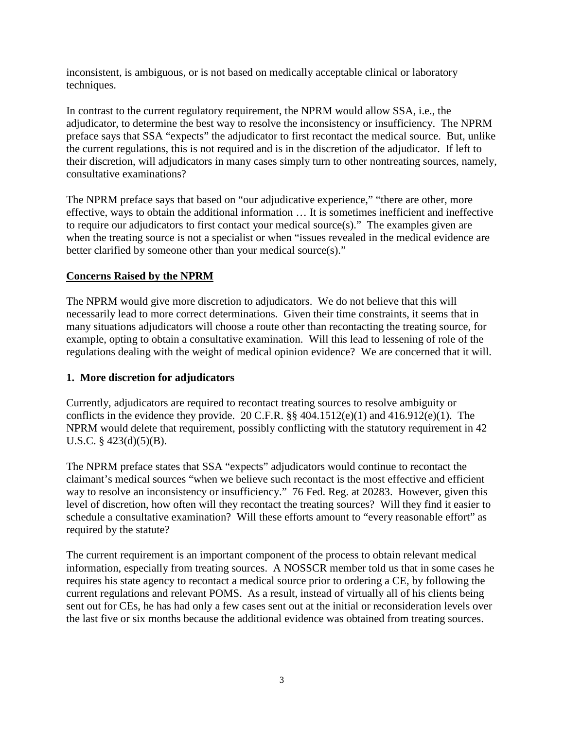inconsistent, is ambiguous, or is not based on medically acceptable clinical or laboratory techniques.

In contrast to the current regulatory requirement, the NPRM would allow SSA, i.e., the adjudicator, to determine the best way to resolve the inconsistency or insufficiency. The NPRM preface says that SSA "expects" the adjudicator to first recontact the medical source. But, unlike the current regulations, this is not required and is in the discretion of the adjudicator. If left to their discretion, will adjudicators in many cases simply turn to other nontreating sources, namely, consultative examinations?

The NPRM preface says that based on "our adjudicative experience," "there are other, more effective, ways to obtain the additional information … It is sometimes inefficient and ineffective to require our adjudicators to first contact your medical source(s)." The examples given are when the treating source is not a specialist or when "issues revealed in the medical evidence are better clarified by someone other than your medical source(s)."

### **Concerns Raised by the NPRM**

The NPRM would give more discretion to adjudicators. We do not believe that this will necessarily lead to more correct determinations. Given their time constraints, it seems that in many situations adjudicators will choose a route other than recontacting the treating source, for example, opting to obtain a consultative examination. Will this lead to lessening of role of the regulations dealing with the weight of medical opinion evidence? We are concerned that it will.

#### **1. More discretion for adjudicators**

Currently, adjudicators are required to recontact treating sources to resolve ambiguity or conflicts in the evidence they provide. 20 C.F.R.  $\S$  404.1512(e)(1) and 416.912(e)(1). The NPRM would delete that requirement, possibly conflicting with the statutory requirement in 42 U.S.C. § 423(d)(5)(B).

The NPRM preface states that SSA "expects" adjudicators would continue to recontact the claimant's medical sources "when we believe such recontact is the most effective and efficient way to resolve an inconsistency or insufficiency." 76 Fed. Reg. at 20283. However, given this level of discretion, how often will they recontact the treating sources? Will they find it easier to schedule a consultative examination? Will these efforts amount to "every reasonable effort" as required by the statute?

The current requirement is an important component of the process to obtain relevant medical information, especially from treating sources. A NOSSCR member told us that in some cases he requires his state agency to recontact a medical source prior to ordering a CE, by following the current regulations and relevant POMS. As a result, instead of virtually all of his clients being sent out for CEs, he has had only a few cases sent out at the initial or reconsideration levels over the last five or six months because the additional evidence was obtained from treating sources.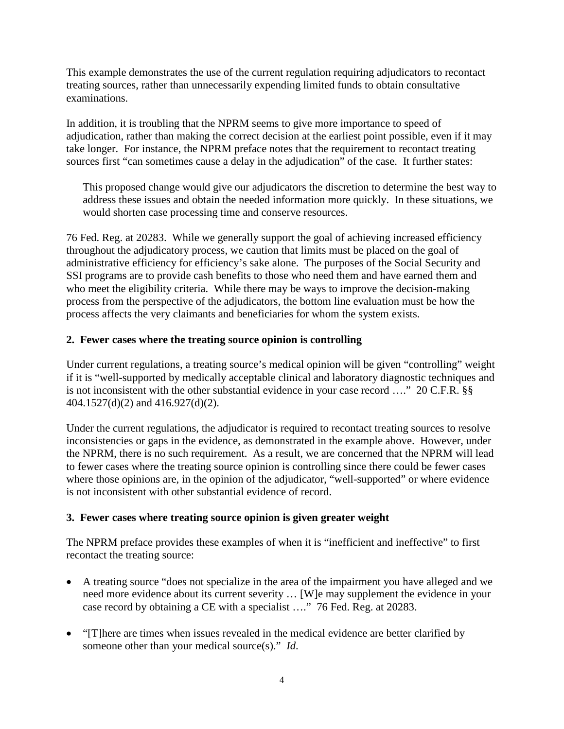This example demonstrates the use of the current regulation requiring adjudicators to recontact treating sources, rather than unnecessarily expending limited funds to obtain consultative examinations.

In addition, it is troubling that the NPRM seems to give more importance to speed of adjudication, rather than making the correct decision at the earliest point possible, even if it may take longer. For instance, the NPRM preface notes that the requirement to recontact treating sources first "can sometimes cause a delay in the adjudication" of the case. It further states:

This proposed change would give our adjudicators the discretion to determine the best way to address these issues and obtain the needed information more quickly. In these situations, we would shorten case processing time and conserve resources.

76 Fed. Reg. at 20283. While we generally support the goal of achieving increased efficiency throughout the adjudicatory process, we caution that limits must be placed on the goal of administrative efficiency for efficiency's sake alone. The purposes of the Social Security and SSI programs are to provide cash benefits to those who need them and have earned them and who meet the eligibility criteria. While there may be ways to improve the decision-making process from the perspective of the adjudicators, the bottom line evaluation must be how the process affects the very claimants and beneficiaries for whom the system exists.

#### **2. Fewer cases where the treating source opinion is controlling**

Under current regulations, a treating source's medical opinion will be given "controlling" weight if it is "well-supported by medically acceptable clinical and laboratory diagnostic techniques and is not inconsistent with the other substantial evidence in your case record …." 20 C.F.R. §§ 404.1527(d)(2) and 416.927(d)(2).

Under the current regulations, the adjudicator is required to recontact treating sources to resolve inconsistencies or gaps in the evidence, as demonstrated in the example above. However, under the NPRM, there is no such requirement. As a result, we are concerned that the NPRM will lead to fewer cases where the treating source opinion is controlling since there could be fewer cases where those opinions are, in the opinion of the adjudicator, "well-supported" or where evidence is not inconsistent with other substantial evidence of record.

## **3. Fewer cases where treating source opinion is given greater weight**

The NPRM preface provides these examples of when it is "inefficient and ineffective" to first recontact the treating source:

- A treating source "does not specialize in the area of the impairment you have alleged and we need more evidence about its current severity … [W]e may supplement the evidence in your case record by obtaining a CE with a specialist …." 76 Fed. Reg. at 20283.
- "[T] here are times when issues revealed in the medical evidence are better clarified by someone other than your medical source(s)." *Id*.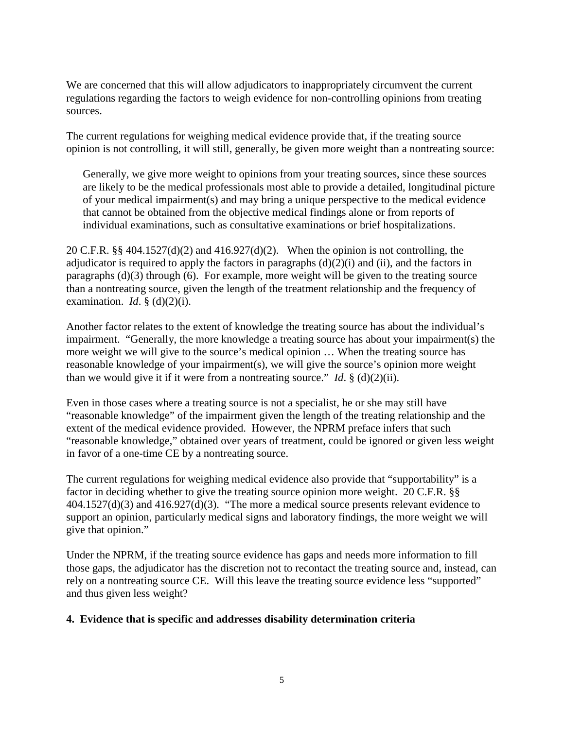We are concerned that this will allow adjudicators to inappropriately circumvent the current regulations regarding the factors to weigh evidence for non-controlling opinions from treating sources.

The current regulations for weighing medical evidence provide that, if the treating source opinion is not controlling, it will still, generally, be given more weight than a nontreating source:

Generally, we give more weight to opinions from your treating sources, since these sources are likely to be the medical professionals most able to provide a detailed, longitudinal picture of your medical impairment(s) and may bring a unique perspective to the medical evidence that cannot be obtained from the objective medical findings alone or from reports of individual examinations, such as consultative examinations or brief hospitalizations.

20 C.F.R. §§ 404.1527(d)(2) and 416.927(d)(2). When the opinion is not controlling, the adjudicator is required to apply the factors in paragraphs  $(d)(2)(i)$  and  $(ii)$ , and the factors in paragraphs (d)(3) through (6). For example, more weight will be given to the treating source than a nontreating source, given the length of the treatment relationship and the frequency of examination. *Id.*  $\frac{6}{5}$  (d)(2)(i).

Another factor relates to the extent of knowledge the treating source has about the individual's impairment. "Generally, the more knowledge a treating source has about your impairment(s) the more weight we will give to the source's medical opinion … When the treating source has reasonable knowledge of your impairment(s), we will give the source's opinion more weight than we would give it if it were from a nontreating source." *Id*.  $\S$  (d)(2)(ii).

Even in those cases where a treating source is not a specialist, he or she may still have "reasonable knowledge" of the impairment given the length of the treating relationship and the extent of the medical evidence provided. However, the NPRM preface infers that such "reasonable knowledge," obtained over years of treatment, could be ignored or given less weight in favor of a one-time CE by a nontreating source.

The current regulations for weighing medical evidence also provide that "supportability" is a factor in deciding whether to give the treating source opinion more weight. 20 C.F.R. §§ 404.1527(d)(3) and 416.927(d)(3). "The more a medical source presents relevant evidence to support an opinion, particularly medical signs and laboratory findings, the more weight we will give that opinion."

Under the NPRM, if the treating source evidence has gaps and needs more information to fill those gaps, the adjudicator has the discretion not to recontact the treating source and, instead, can rely on a nontreating source CE. Will this leave the treating source evidence less "supported" and thus given less weight?

#### **4. Evidence that is specific and addresses disability determination criteria**